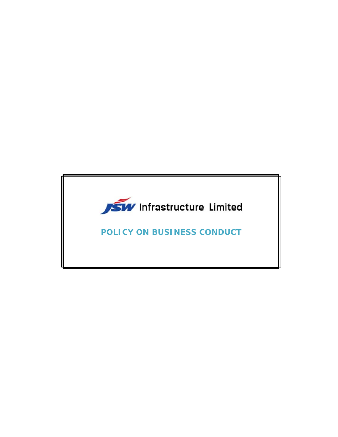

**POLICY ON BUSINESS CONDUCT**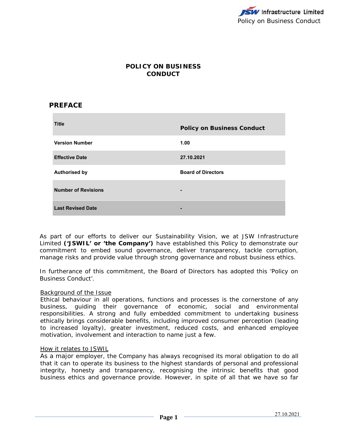# **POLICY ON BUSINESS CONDUCT**

# **PREFACE**

| <b>Title</b>               | <b>Policy on Business Conduct</b> |
|----------------------------|-----------------------------------|
| <b>Version Number</b>      | 1.00                              |
| <b>Effective Date</b>      | 27.10.2021                        |
| <b>Authorised by</b>       | <b>Board of Directors</b>         |
| <b>Number of Revisions</b> | $\blacksquare$                    |
| <b>Last Revised Date</b>   | $\overline{\phantom{0}}$          |

As part of our efforts to deliver our Sustainability Vision, we at JSW Infrastructure Limited **('JSWIL' or 'the Company')** have established this Policy to demonstrate our commitment to embed sound governance, deliver transparency, tackle corruption, manage risks and provide value through strong governance and robust business ethics.

In furtherance of this commitment, the Board of Directors has adopted this 'Policy on Business Conduct'.

### Background of the Issue

Ethical behaviour in all operations, functions and processes is the cornerstone of any business, guiding their governance of economic, social and environmental responsibilities. A strong and fully embedded commitment to undertaking business ethically brings considerable benefits, including improved consumer perception (leading to increased loyalty), greater investment, reduced costs, and enhanced employee motivation, involvement and interaction to name just a few.

### How it relates to JSWIL

As a major employer, the Company has always recognised its moral obligation to do all that it can to operate its business to the highest standards of personal and professional integrity, honesty and transparency, recognising the intrinsic benefits that good business ethics and governance provide. However, in spite of all that we have so far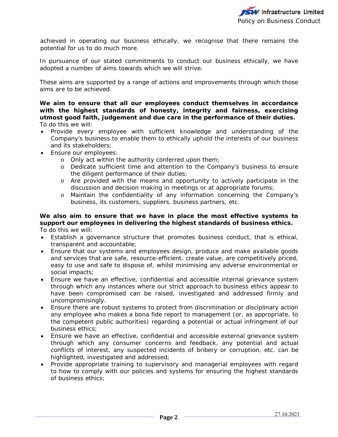achieved in operating our business ethically, we recognise that there remains the potential for us to do much more.

In pursuance of our stated commitments to conduct our business ethically, we have adopted a number of aims towards which we will strive.

These aims are supported by a range of actions and improvements through which those aims are to be achieved.

**We aim to ensure that all our employees conduct themselves in accordance with the highest standards of honesty, integrity and fairness, exercising utmost good faith, judgement and due care in the performance of their duties.**  To do this we will:

- Provide every employee with sufficient knowledge and understanding of the Company's business to enable them to ethically uphold the interests of our business and its stakeholders;
- Ensure our employees:
	- o Only act within the authority conferred upon them;
	- o Dedicate sufficient time and attention to the Company's business to ensure the diligent performance of their duties;
	- o Are provided with the means and opportunity to actively participate in the discussion and decision making in meetings or at appropriate forums;
	- o Maintain the confidentiality of any information concerning the Company's business, its customers, suppliers, business partners, etc.

#### **We also aim to ensure that we have in place the most effective systems to support our employees in delivering the highest standards of business ethics.**  To do this we will:

- Establish a governance structure that promotes business conduct, that is ethical, transparent and accountable;
- Ensure that our systems and employees design, produce and make available goods and services that are safe, resource-efficient, create value, are competitively priced, easy to use and safe to dispose of, whilst minimising any adverse environmental or social impacts;
- Ensure we have an effective, confidential and accessible internal grievance system through which any instances where our strict approach to business ethics appear to have been compromised can be raised, investigated and addressed firmly and uncompromisingly.
- Ensure there are robust systems to protect from discrimination or disciplinary action any employee who makes a *bona fide* report to management (or, as appropriate, to the competent public authorities) regarding a potential or actual infringment of our business ethics;
- Ensure we have an effective, confidential and accessible external grievance system through which any consumer concerns and feedback, any potential and actual conflicts of interest, any suspected incidents of bribery or corruption, etc. can be highlighted, investigated and addressed;
- Provide appropriate training to supervisory and managerial employees with regard to how to comply with our policies and systems for ensuring the highest standards of business ethics;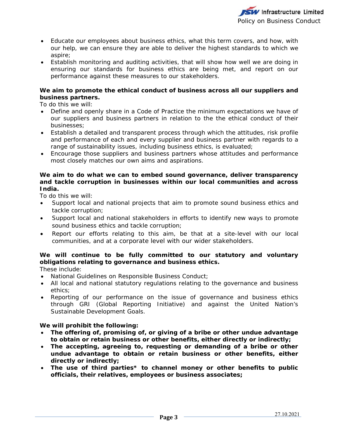

- Educate our employees about business ethics, what this term covers, and how, with our help, we can ensure they are able to deliver the highest standards to which we aspire;
- Establish monitoring and auditing activities, that will show how well we are doing in ensuring our standards for business ethics are being met, and report on our performance against these measures to our stakeholders.

# **We aim to promote the ethical conduct of business across all our suppliers and business partners.**

To do this we will:

- Define and openly share in a Code of Practice the minimum expectations we have of our suppliers and business partners in relation to the the ethical conduct of their businesses;
- Establish a detailed and transparent process through which the attitudes, risk profile and performance of each and every supplier and business partner with regards to a range of sustainability issues, including business ethics, is evaluated;
- Encourage those suppliers and business partners whose attitudes and performance most closely matches our own aims and aspirations.

# **We aim to do what we can to embed sound governance, deliver transparency and tackle corruption in businesses within our local communities and across India.**

To do this we will:

- Support local and national projects that aim to promote sound business ethics and tackle corruption;
- Support local and national stakeholders in efforts to identify new ways to promote sound business ethics and tackle corruption;
- Report our efforts relating to this aim, be that at a site-level with our local communities, and at a corporate level with our wider stakeholders.

# **We will continue to be fully committed to our statutory and voluntary obligations relating to governance and business ethics.**

These include:

- National Guidelines on Responsible Business Conduct;
- All local and national statutory regulations relating to the governance and business ethics;
- Reporting of our performance on the issue of governance and business ethics through GRI (Global Reporting Initiative) and against the United Nation's Sustainable Development Goals.

# **We will prohibit the following:**

- **The offering of, promising of, or giving of a bribe or other undue advantage to obtain or retain business or other benefits, either directly or indirectly;**
- **The accepting, agreeing to, requesting or demanding of a bribe or other undue advantage to obtain or retain business or other benefits, either directly or indirectly;**
- **The use of third parties\* to channel money or other benefits to public officials, their relatives, employees or business associates;**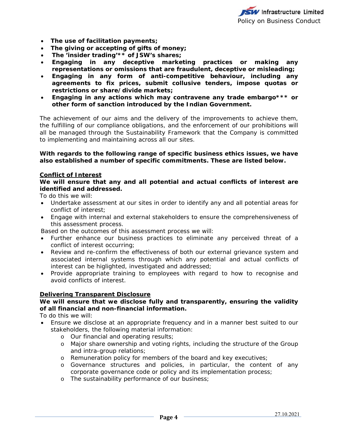- **The use of facilitation payments;**
- **The giving or accepting of gifts of money;**
- **The 'insider trading'\*\* of JSW's shares;**
- **Engaging in any deceptive marketing practices or making any representations or omissions that are fraudulent, deceptive or misleading;**
- **Engaging in any form of anti-competitive behaviour, including any agreements to fix prices, submit collusive tenders, impose quotas or restrictions or share/divide markets;**
- **Engaging in any actions which may contravene any trade embargo\*\*\* or other form of sanction introduced by the Indian Government.**

The achievement of our aims and the delivery of the improvements to achieve them, the fulfilling of our compliance obligations, and the enforcement of our prohibitions will all be managed through the Sustainability Framework that the Company is committed to implementing and maintaining across all our sites.

### **With regards to the following range of specific business ethics issues, we have also established a number of specific commitments. These are listed below.**

# **Conflict of Interest**

### **We will ensure that any and all potential and actual conflicts of interest are identified and addressed.**

To do this we will:

- Undertake assessment at our sites in order to identify any and all potential areas for conflict of interest;
- Engage with internal and external stakeholders to ensure the comprehensiveness of this assessment process.

Based on the outcomes of this assessment process we will:

- Further enhance our business practices to eliminate any perceived threat of a conflict of interest occurring;
- Review and re-confirm the effectiveness of both our external grievance system and associated internal systems through which any potential and actual conflicts of interest can be higlighted, investigated and addressed;
- Provide appropriate training to employees with regard to how to recognise and avoid conflicts of interest.

### **Delivering Transparent Disclosure**

# **We will ensure that we disclose fully and transparently, ensuring the validity of all financial and non-financial information.**

To do this we will:

- Ensure we disclose at an appropriate frequency and in a manner best suited to our stakeholders, the following material information:
	- o Our financial and operating results;
	- o Major share ownership and voting rights, including the structure of the Group and intra-group relations;
	- o Remuneration policy for members of the board and key executives;
	- o Governance structures and policies, in particular, the content of any corporate governance code or policy and its implementation process;
	- o The sustainability performance of our business;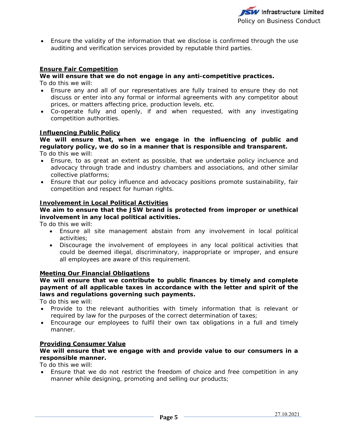Ensure the validity of the information that we disclose is confirmed through the use auditing and verification services provided by reputable third parties.

# **Ensure Fair Competition**

# **We will ensure that we do not engage in any anti-competitive practices.**

To do this we will:

- Ensure any and all of our representatives are fully trained to ensure they do not discuss or enter into any formal or informal agreements with any competitor about prices, or matters affecting price, production levels, etc.
- Co-operate fully and openly, if and when requested, with any investigating competition authorities.

### **Influencing Public Policy**

**We will ensure that, when we engage in the influencing of public and regulatory policy, we do so in a manner that is responsible and transparent.**  To do this we will:

- Ensure, to as great an extent as possible, that we undertake policy incluence and advocacy through trade and industry chambers and associations, and other similar collective platforms;
- Ensure that our policy influence and advocacy positions promote sustainability, fair competition and respect for human rights.

### **Involvement in Local Political Activities**

# **We aim to ensure that the JSW brand is protected from improper or unethical involvement in any local political activities.**

To do this we will:

- Ensure all site management abstain from any involvement in local political activities;
- Discourage the involvement of employees in any local political activities that could be deemed illegal, discriminatory, inappropriate or improper, and ensure all employees are aware of this requirement.

### **Meeting Our Financial Obligations**

# **We will ensure that we contribute to public finances by timely and complete payment of all applicable taxes in accordance with the letter and spirit of the laws and regulations governing such payments.**

To do this we will:

- Provide to the relevant authorities with timely information that is relevant or required by law for the purposes of the correct determination of taxes;
- Encourage our employees to fulfil their own tax obligations in a full and timely manner.

#### **Providing Consumer Value**

# **We will ensure that we engage with and provide value to our consumers in a responsible manner.**

To do this we will:

 Ensure that we do not restrict the freedom of choice and free competition in any manner while designing, promoting and selling our products;